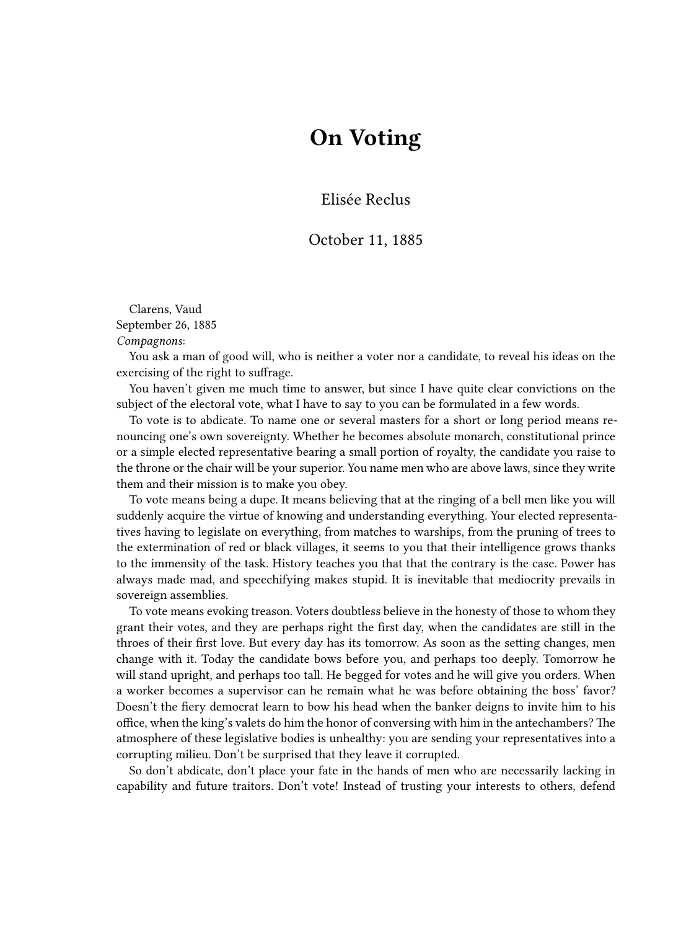## **On Voting**

Elisée Reclus

## October 11, 1885

Clarens, Vaud September 26, 1885 *Compagnons*:

You ask a man of good will, who is neither a voter nor a candidate, to reveal his ideas on the exercising of the right to suffrage.

You haven't given me much time to answer, but since I have quite clear convictions on the subject of the electoral vote, what I have to say to you can be formulated in a few words.

To vote is to abdicate. To name one or several masters for a short or long period means renouncing one's own sovereignty. Whether he becomes absolute monarch, constitutional prince or a simple elected representative bearing a small portion of royalty, the candidate you raise to the throne or the chair will be your superior. You name men who are above laws, since they write them and their mission is to make you obey.

To vote means being a dupe. It means believing that at the ringing of a bell men like you will suddenly acquire the virtue of knowing and understanding everything. Your elected representatives having to legislate on everything, from matches to warships, from the pruning of trees to the extermination of red or black villages, it seems to you that their intelligence grows thanks to the immensity of the task. History teaches you that that the contrary is the case. Power has always made mad, and speechifying makes stupid. It is inevitable that mediocrity prevails in sovereign assemblies.

To vote means evoking treason. Voters doubtless believe in the honesty of those to whom they grant their votes, and they are perhaps right the first day, when the candidates are still in the throes of their first love. But every day has its tomorrow. As soon as the setting changes, men change with it. Today the candidate bows before you, and perhaps too deeply. Tomorrow he will stand upright, and perhaps too tall. He begged for votes and he will give you orders. When a worker becomes a supervisor can he remain what he was before obtaining the boss' favor? Doesn't the fiery democrat learn to bow his head when the banker deigns to invite him to his office, when the king's valets do him the honor of conversing with him in the antechambers? The atmosphere of these legislative bodies is unhealthy: you are sending your representatives into a corrupting milieu. Don't be surprised that they leave it corrupted.

So don't abdicate, don't place your fate in the hands of men who are necessarily lacking in capability and future traitors. Don't vote! Instead of trusting your interests to others, defend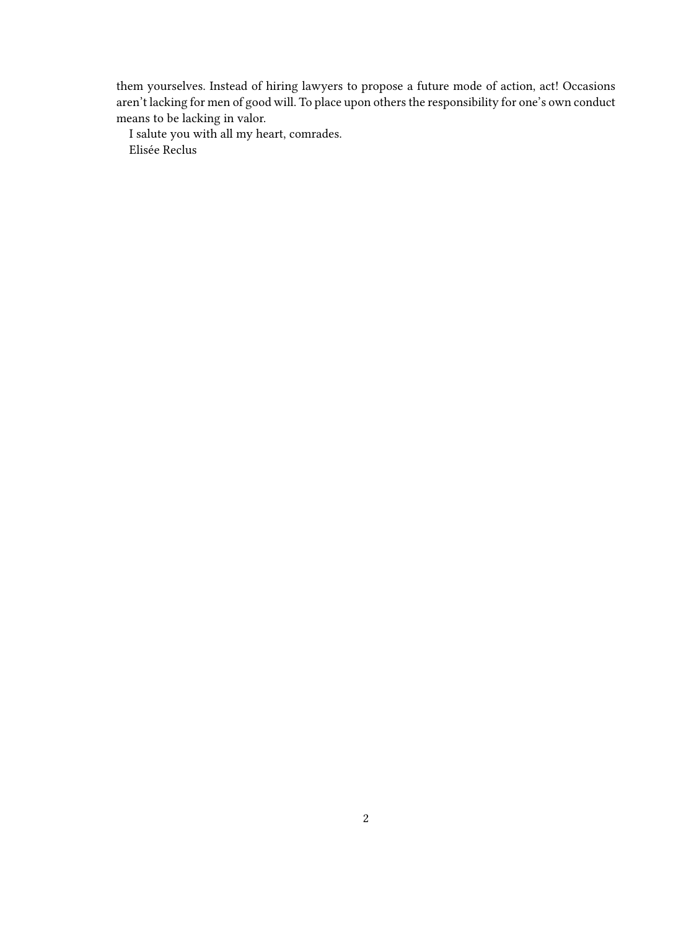them yourselves. Instead of hiring lawyers to propose a future mode of action, act! Occasions aren't lacking for men of good will. To place upon others the responsibility for one's own conduct means to be lacking in valor.

I salute you with all my heart, comrades. Elisée Reclus